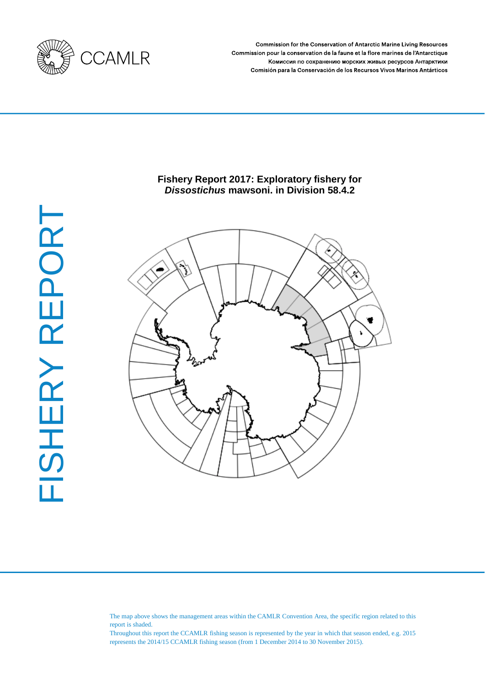

**Commission for the Conservation of Antarctic Marine Living Resources** Commission pour la conservation de la faune et la flore marines de l'Antarctique Комиссия по сохранению морских живых ресурсов Антарктики Comisión para la Conservación de los Recursos Vivos Marinos Antárticos

# **Fishery Report 2017: Exploratory fishery for**  *Dissostichus* **mawsoni. in Division 58.4.2**



The map above shows the management areas within the CAMLR Convention Area, the specific region related to this report is shaded.

Throughout this report the CCAMLR fishing season is represented by the year in which that season ended, e.g. 2015 represents the 2014/15 CCAMLR fishing season (from 1 December 2014 to 30 November 2015).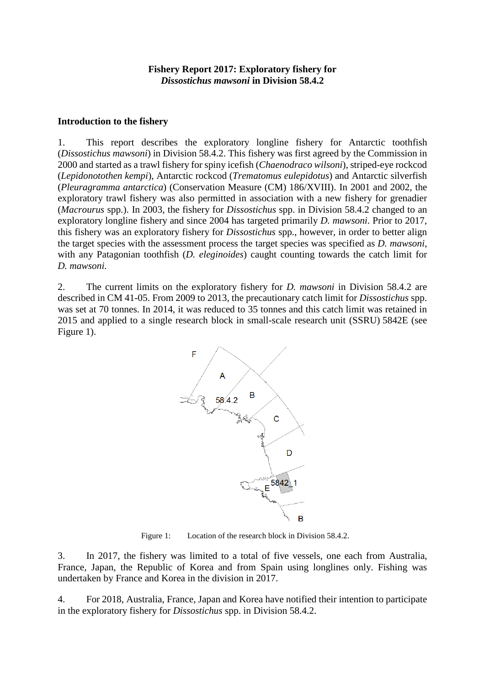#### **Introduction to the fishery**

1. This report describes the exploratory longline fishery for Antarctic toothfish (*Dissostichus mawsoni*) in Division 58.4.2. This fishery was first agreed by the Commission in 2000 and started as a trawl fishery for spiny icefish (*Chaenodraco wilsoni*), striped-eye rockcod (*Lepidonotothen kempi*), Antarctic rockcod (*Trematomus eulepidotus*) and Antarctic silverfish (*Pleuragramma antarctica*) (Conservation Measure (CM) 186/XVIII). In 2001 and 2002, the exploratory trawl fishery was also permitted in association with a new fishery for grenadier (*Macrourus* spp.). In 2003, the fishery for *Dissostichus* spp. in Division 58.4.2 changed to an exploratory longline fishery and since 2004 has targeted primarily *D. mawsoni*. Prior to 2017, this fishery was an exploratory fishery for *Dissostichus* spp., however, in order to better align the target species with the assessment process the target species was specified as *D. mawsoni*, with any Patagonian toothfish (*D. eleginoides*) caught counting towards the catch limit for *D. mawsoni.*

2. The current limits on the exploratory fishery for *D. mawsoni* in Division 58.4.2 are described in CM 41-05. From 2009 to 2013, the precautionary catch limit for *Dissostichus* spp. was set at 70 tonnes. In 2014, it was reduced to 35 tonnes and this catch limit was retained in 2015 and applied to a single research block in small-scale research unit (SSRU) 5842E (see Figure 1).



Figure 1: Location of the research block in Division 58.4.2.

3. In 2017, the fishery was limited to a total of five vessels, one each from Australia, France, Japan, the Republic of Korea and from Spain using longlines only. Fishing was undertaken by France and Korea in the division in 2017.

4. For 2018, Australia, France, Japan and Korea have notified their intention to participate in the exploratory fishery for *Dissostichus* spp. in Division 58.4.2.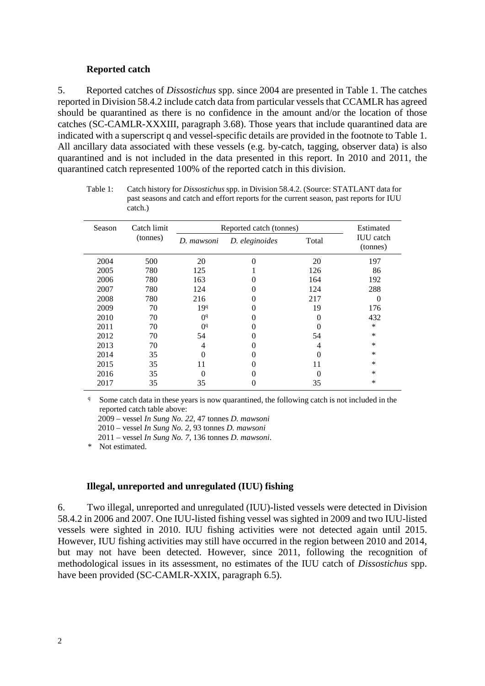#### **Reported catch**

5. Reported catches of *Dissostichus* spp. since 2004 are presented in Table 1. The catches reported in Division 58.4.2 include catch data from particular vessels that CCAMLR has agreed should be quarantined as there is no confidence in the amount and/or the location of those catches (SC-CAMLR-XXXIII, paragraph 3.68). Those years that include quarantined data are indicated with a superscript q and vessel-specific details are provided in the footnote to Table 1. All ancillary data associated with these vessels (e.g. by-catch, tagging, observer data) is also quarantined and is not included in the data presented in this report. In 2010 and 2011, the quarantined catch represented 100% of the reported catch in this division.

Table 1: Catch history for *Dissostichus* spp. in Division 58.4.2. (Source: STATLANT data for past seasons and catch and effort reports for the current season, past reports for IUU catch.)

| Season | Catch limit | Reported catch (tonnes) | Estimated      |              |                              |  |
|--------|-------------|-------------------------|----------------|--------------|------------------------------|--|
|        | (tonnes)    | D. mawsoni              | D. eleginoides | Total        | <b>IUU</b> catch<br>(tonnes) |  |
| 2004   | 500         | 20                      | 0              | 20           | 197                          |  |
| 2005   | 780         | 125                     |                | 126          | 86                           |  |
| 2006   | 780         | 163                     |                | 164          | 192                          |  |
| 2007   | 780         | 124                     |                | 124          | 288                          |  |
| 2008   | 780         | 216                     | 0              | 217          | $\theta$                     |  |
| 2009   | 70          | 199                     | 0              | 19           | 176                          |  |
| 2010   | 70          | O <sup>q</sup>          | 0              |              | 432                          |  |
| 2011   | 70          | O <sup>q</sup>          |                |              | $\ast$                       |  |
| 2012   | 70          | 54                      |                | 54           | $\ast$                       |  |
| 2013   | 70          | 4                       |                | 4            | *                            |  |
| 2014   | 35          | 0                       |                | 0            | $\ast$                       |  |
| 2015   | 35          | 11                      |                | 11           | $\ast$                       |  |
| 2016   | 35          | 0                       |                | $\mathbf{0}$ | $\ast$                       |  |
| 2017   | 35          | 35                      | 0              | 35           | *                            |  |
|        |             |                         |                |              |                              |  |

<sup>q</sup> Some catch data in these years is now quarantined, the following catch is not included in the reported catch table above:

2009 – vessel *In Sung No. 22*, 47 tonnes *D. mawsoni*

2010 – vessel *In Sung No. 2*, 93 tonnes *D. mawsoni*

2011 – vessel *In Sung No. 7*, 136 tonnes *D. mawsoni*.

\* Not estimated.

#### **Illegal, unreported and unregulated (IUU) fishing**

6. Two illegal, unreported and unregulated (IUU)-listed vessels were detected in Division 58.4.2 in 2006 and 2007. One IUU-listed fishing vessel was sighted in 2009 and two IUU-listed vessels were sighted in 2010. IUU fishing activities were not detected again until 2015. However, IUU fishing activities may still have occurred in the region between 2010 and 2014, but may not have been detected. However, since 2011, following the recognition of methodological issues in its assessment, no estimates of the IUU catch of *Dissostichus* spp. have been provided (SC-CAMLR-XXIX, paragraph 6.5).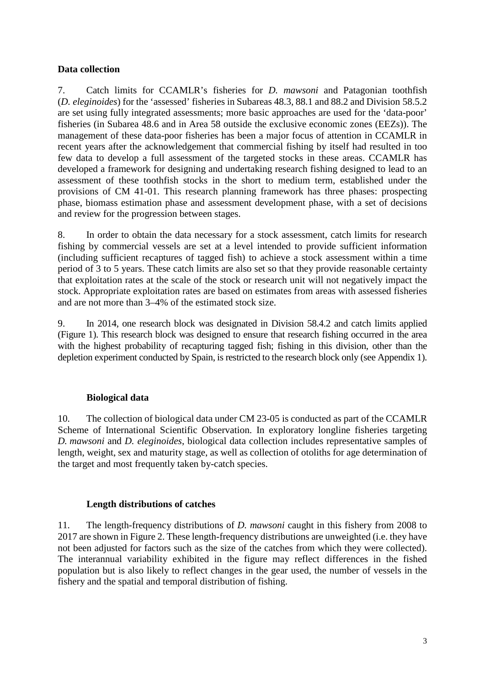## **Data collection**

7. Catch limits for CCAMLR's fisheries for *D. mawsoni* and Patagonian toothfish (*D. eleginoides*) for the 'assessed' fisheries in Subareas 48.3, 88.1 and 88.2 and Division 58.5.2 are set using fully integrated assessments; more basic approaches are used for the 'data-poor' fisheries (in Subarea 48.6 and in Area 58 outside the exclusive economic zones (EEZs)). The management of these data-poor fisheries has been a major focus of attention in CCAMLR in recent years after the acknowledgement that commercial fishing by itself had resulted in too few data to develop a full assessment of the targeted stocks in these areas. CCAMLR has developed a framework for designing and undertaking research fishing designed to lead to an assessment of these toothfish stocks in the short to medium term, established under the provisions of CM 41-01. This research planning framework has three phases: prospecting phase, biomass estimation phase and assessment development phase, with a set of decisions and review for the progression between stages.

8. In order to obtain the data necessary for a stock assessment, catch limits for research fishing by commercial vessels are set at a level intended to provide sufficient information (including sufficient recaptures of tagged fish) to achieve a stock assessment within a time period of 3 to 5 years. These catch limits are also set so that they provide reasonable certainty that exploitation rates at the scale of the stock or research unit will not negatively impact the stock. Appropriate exploitation rates are based on estimates from areas with assessed fisheries and are not more than 3–4% of the estimated stock size.

9. In 2014, one research block was designated in Division 58.4.2 and catch limits applied (Figure 1). This research block was designed to ensure that research fishing occurred in the area with the highest probability of recapturing tagged fish; fishing in this division, other than the depletion experiment conducted by Spain, is restricted to the research block only (see Appendix 1).

# **Biological data**

10. The collection of biological data under CM 23-05 is conducted as part of the CCAMLR Scheme of International Scientific Observation. In exploratory longline fisheries targeting *D. mawsoni* and *D. eleginoides*, biological data collection includes representative samples of length, weight, sex and maturity stage, as well as collection of otoliths for age determination of the target and most frequently taken by-catch species.

# **Length distributions of catches**

11. The length-frequency distributions of *D. mawsoni* caught in this fishery from 2008 to 2017 are shown in Figure 2. These length-frequency distributions are unweighted (i.e. they have not been adjusted for factors such as the size of the catches from which they were collected). The interannual variability exhibited in the figure may reflect differences in the fished population but is also likely to reflect changes in the gear used, the number of vessels in the fishery and the spatial and temporal distribution of fishing.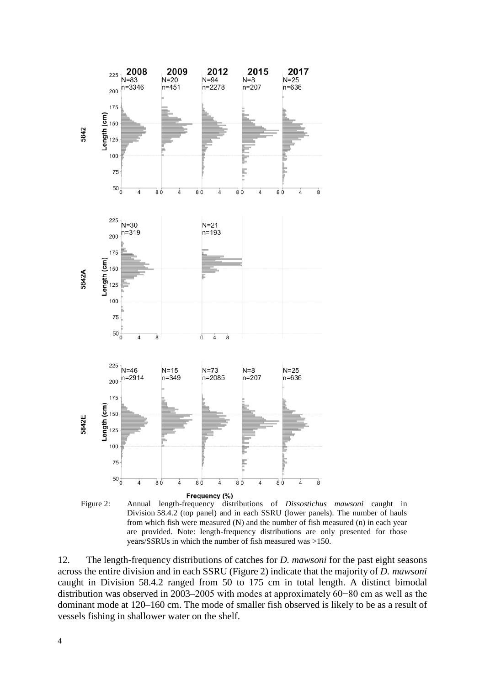



12. The length-frequency distributions of catches for *D. mawsoni* for the past eight seasons across the entire division and in each SSRU (Figure 2) indicate that the majority of *D. mawsoni* caught in Division 58.4.2 ranged from 50 to 175 cm in total length. A distinct bimodal distribution was observed in 2003–2005 with modes at approximately 60−80 cm as well as the dominant mode at 120–160 cm. The mode of smaller fish observed is likely to be as a result of vessels fishing in shallower water on the shelf.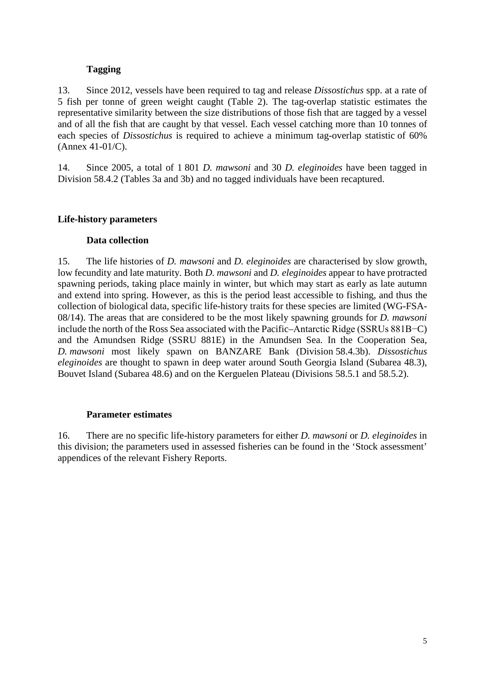# **Tagging**

13. Since 2012, vessels have been required to tag and release *Dissostichus* spp. at a rate of 5 fish per tonne of green weight caught (Table 2). The tag-overlap statistic estimates the representative similarity between the size distributions of those fish that are tagged by a vessel and of all the fish that are caught by that vessel. Each vessel catching more than 10 tonnes of each species of *Dissostichus* is required to achieve a minimum tag-overlap statistic of 60% (Annex 41-01/C).

14. Since 2005, a total of 1 801 *D. mawsoni* and 30 *D. eleginoides* have been tagged in Division 58.4.2 (Tables 3a and 3b) and no tagged individuals have been recaptured.

## **Life-history parameters**

## **Data collection**

15. The life histories of *D. mawsoni* and *D. eleginoides* are characterised by slow growth, low fecundity and late maturity. Both *D. mawsoni* and *D. eleginoides* appear to have protracted spawning periods, taking place mainly in winter, but which may start as early as late autumn and extend into spring. However, as this is the period least accessible to fishing, and thus the collection of biological data, specific life-history traits for these species are limited (WG-FSA-08/14). The areas that are considered to be the most likely spawning grounds for *D. mawsoni* include the north of the Ross Sea associated with the Pacific–Antarctic Ridge (SSRUs 881B−C) and the Amundsen Ridge (SSRU 881E) in the Amundsen Sea. In the Cooperation Sea, *D. mawsoni* most likely spawn on BANZARE Bank (Division 58.4.3b). *Dissostichus eleginoides* are thought to spawn in deep water around South Georgia Island (Subarea 48.3), Bouvet Island (Subarea 48.6) and on the Kerguelen Plateau (Divisions 58.5.1 and 58.5.2).

### **Parameter estimates**

16. There are no specific life-history parameters for either *D. mawsoni* or *D. eleginoides* in this division; the parameters used in assessed fisheries can be found in the 'Stock assessment' appendices of the relevant Fishery Reports.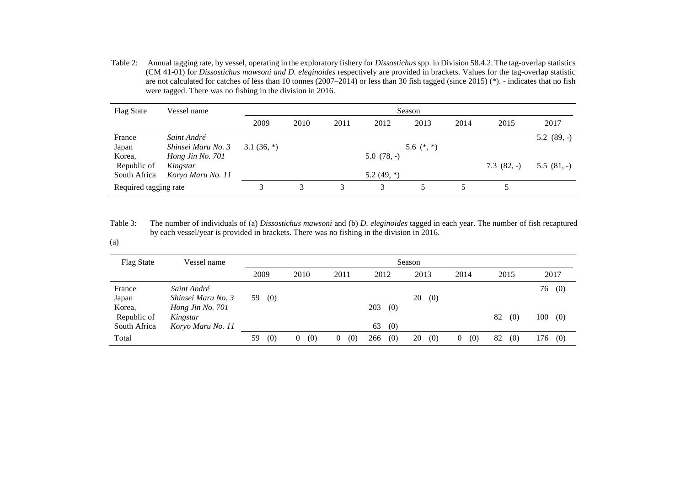Table 2: Annual tagging rate, by vessel, operating in the exploratory fishery for *Dissostichus* spp. in Division 58.4.2. The tag-overlap statistics (CM 41-01) for *Dissostichus mawsoni and D. eleginoides* respectively are provided in brackets. Values for the tag-overlap statistic are not calculated for catches of less than 10 tonnes (2007–2014) or less than 30 fish tagged (since 2015) (\*). - indicates that no fish were tagged. There was no fishing in the division in 2016.

| <b>Flag State</b>                 | Vessel name        | Season      |      |      |               |              |      |             |             |
|-----------------------------------|--------------------|-------------|------|------|---------------|--------------|------|-------------|-------------|
|                                   |                    | 2009        | 2010 | 2011 | 2012          | 2013         | 2014 | 2015        | 2017        |
| France                            | Saint André        |             |      |      |               |              |      |             | $5.2(89,-)$ |
| Japan                             | Shinsei Maru No. 3 | $3.1(36,*)$ |      |      |               | 5.6 $(*, *)$ |      |             |             |
| Korea,                            | Hong Jin No. 701   |             |      |      | $5.0(78,-)$   |              |      |             |             |
| Republic of                       | Kingstar           |             |      |      |               |              |      | $7.3(82,-)$ | $5.5(81,-)$ |
| South Africa<br>Koryo Maru No. 11 |                    |             |      |      | 5.2 $(49, *)$ |              |      |             |             |
| Required tagging rate             |                    |             |      |      |               |              |      |             |             |

Table 3: The number of individuals of (a) *Dissostichus mawsoni* and (b) *D. eleginoides* tagged in each year. The number of fish recaptured by each vessel/year is provided in brackets. There was no fishing in the division in 2016.

(a)

| <b>Flag State</b>     | Vessel name                       | Season    |          |          |            |           |                       |           |            |
|-----------------------|-----------------------------------|-----------|----------|----------|------------|-----------|-----------------------|-----------|------------|
|                       |                                   | 2009      | 2010     | 2011     | 2012       | 2013      | 2014                  | 2015      | 2017       |
| France<br>Japan       | Saint André<br>Shinsei Maru No. 3 | (0)<br>59 |          |          |            | 20<br>(0) |                       |           | 76<br>(0)  |
| Korea,<br>Republic of | Hong Jin No. 701<br>Kingstar      |           |          |          | 203<br>(0) |           |                       | 82<br>(0) | 100<br>(0) |
| South Africa          | Koryo Maru No. 11                 |           |          |          | (0)<br>63  |           |                       |           |            |
| Total                 |                                   | (0)<br>59 | (0)<br>0 | (0)<br>0 | (0)<br>266 | 20<br>(0) | (0)<br>$\overline{0}$ | 82<br>(0) | $176$ (0)  |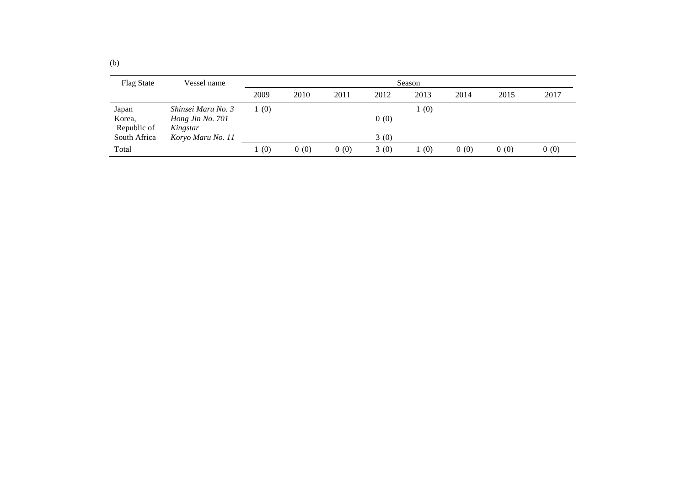| <b>Flag State</b>     | Vessel name                  | Season |      |      |      |      |      |      |      |
|-----------------------|------------------------------|--------|------|------|------|------|------|------|------|
|                       |                              | 2009   | 2010 | 2011 | 2012 | 2013 | 2014 | 2015 | 2017 |
| Japan                 | Shinsei Maru No. 3           | 1(0)   |      |      |      | (0)  |      |      |      |
| Korea,<br>Republic of | Hong Jin No. 701<br>Kingstar |        |      |      | 0(0) |      |      |      |      |
| South Africa          | Koryo Maru No. 11            |        |      |      | 3(0) |      |      |      |      |
| Total                 |                              | (0)    | 0(0) | 0(0) | 3(0) | (0)  | 0(0) | 0(0) | 0(0) |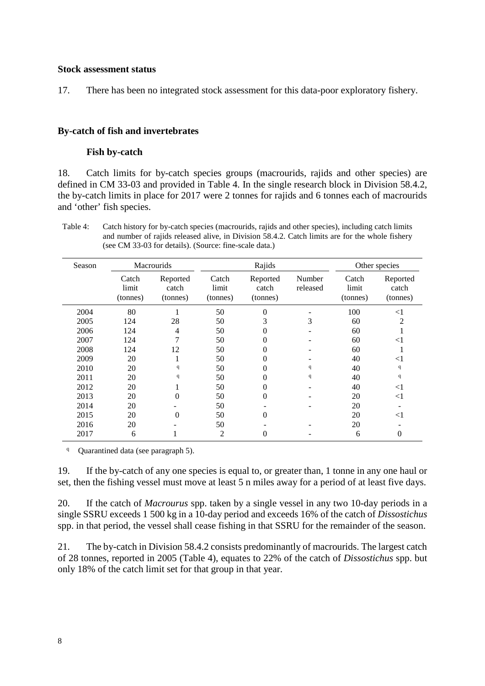### **Stock assessment status**

17. There has been no integrated stock assessment for this data-poor exploratory fishery.

### **By-catch of fish and invertebrates**

### **Fish by-catch**

18. Catch limits for by-catch species groups (macrourids, rajids and other species) are defined in CM 33-03 and provided in Table 4. In the single research block in Division 58.4.2, the by-catch limits in place for 2017 were 2 tonnes for rajids and 6 tonnes each of macrourids and 'other' fish species.

Table 4: Catch history for by-catch species (macrourids, rajids and other species), including catch limits and number of rajids released alive, in Division 58.4.2. Catch limits are for the whole fishery (see CM 33-03 for details). (Source: fine-scale data.)

| Season | <b>Macrourids</b>          |                               |                            | Rajids                        |                    | Other species              |                               |  |
|--------|----------------------------|-------------------------------|----------------------------|-------------------------------|--------------------|----------------------------|-------------------------------|--|
|        | Catch<br>limit<br>(tonnes) | Reported<br>catch<br>(tonnes) | Catch<br>limit<br>(tonnes) | Reported<br>catch<br>(tonnes) | Number<br>released | Catch<br>limit<br>(tonnes) | Reported<br>catch<br>(tonnes) |  |
| 2004   | 80                         |                               | 50                         | $\boldsymbol{0}$              |                    | 100                        | $<$ 1                         |  |
| 2005   | 124                        | 28                            | 50                         | 3                             | 3                  | 60                         | 2                             |  |
| 2006   | 124                        | $\overline{4}$                | 50                         | 0                             |                    | 60                         |                               |  |
| 2007   | 124                        | 7                             | 50                         | 0                             |                    | 60                         | $<$ 1                         |  |
| 2008   | 124                        | 12                            | 50                         | 0                             |                    | 60                         |                               |  |
| 2009   | 20                         |                               | 50                         | 0                             |                    | 40                         | ${<}1$                        |  |
| 2010   | 20                         | $\mathbf{q}$                  | 50                         | 0                             | q                  | 40                         | q                             |  |
| 2011   | 20                         | $\mathbf{q}$                  | 50                         | 0                             | q                  | 40                         | q                             |  |
| 2012   | 20                         |                               | 50                         | 0                             |                    | 40                         | $<$ 1                         |  |
| 2013   | 20                         | 0                             | 50                         | $\theta$                      |                    | 20                         | $<$ 1                         |  |
| 2014   | 20                         |                               | 50                         |                               |                    | 20                         |                               |  |
| 2015   | 20                         | 0                             | 50                         | 0                             |                    | 20                         | $<$ 1                         |  |
| 2016   | 20                         |                               | 50                         |                               |                    | 20                         |                               |  |
| 2017   | 6                          |                               | $\overline{2}$             | 0                             |                    | 6                          | 0                             |  |

<sup>q</sup> Quarantined data (see paragraph 5).

19. If the by-catch of any one species is equal to, or greater than, 1 tonne in any one haul or set, then the fishing vessel must move at least 5 n miles away for a period of at least five days.

20. If the catch of *Macrourus* spp. taken by a single vessel in any two 10-day periods in a single SSRU exceeds 1 500 kg in a 10-day period and exceeds 16% of the catch of *Dissostichus* spp. in that period, the vessel shall cease fishing in that SSRU for the remainder of the season.

21. The by-catch in Division 58.4.2 consists predominantly of macrourids. The largest catch of 28 tonnes, reported in 2005 (Table 4), equates to 22% of the catch of *Dissostichus* spp. but only 18% of the catch limit set for that group in that year.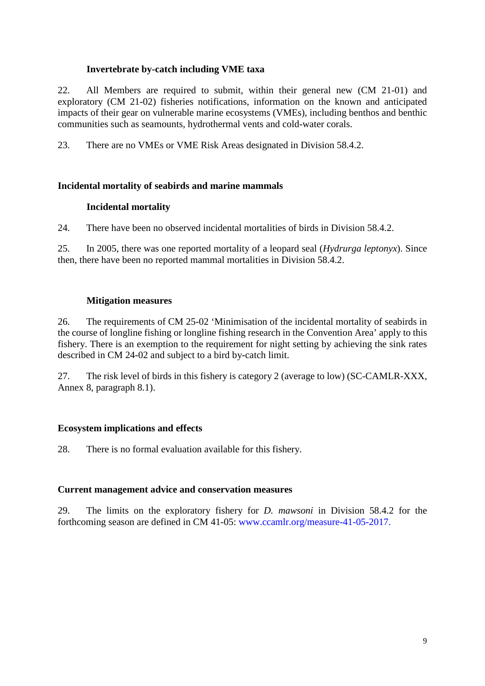# **Invertebrate by-catch including VME taxa**

22. All Members are required to submit, within their general new (CM 21-01) and exploratory (CM 21-02) fisheries notifications, information on the known and anticipated impacts of their gear on vulnerable marine ecosystems (VMEs), including benthos and benthic communities such as seamounts, hydrothermal vents and cold-water corals.

23. There are no VMEs or VME Risk Areas designated in Division 58.4.2.

## **Incidental mortality of seabirds and marine mammals**

## **Incidental mortality**

24. There have been no observed incidental mortalities of birds in Division 58.4.2.

25. In 2005, there was one reported mortality of a leopard seal (*Hydrurga leptonyx*). Since then, there have been no reported mammal mortalities in Division 58.4.2.

## **Mitigation measures**

26. The requirements of CM 25-02 'Minimisation of the incidental mortality of seabirds in the course of longline fishing or longline fishing research in the Convention Area' apply to this fishery. There is an exemption to the requirement for night setting by achieving the sink rates described in CM 24-02 and subject to a bird by-catch limit.

27. The risk level of birds in this fishery is category 2 (average to low) (SC-CAMLR-XXX, Annex 8, paragraph 8.1).

# **Ecosystem implications and effects**

28. There is no formal evaluation available for this fishery.

### **Current management advice and conservation measures**

29. The limits on the exploratory fishery for *D. mawsoni* in Division 58.4.2 for the forthcoming season are defined in CM 41-05: [www.ccamlr.org/measure-41-05-2017.](https://www.ccamlr.org/measure-41-05-2017)